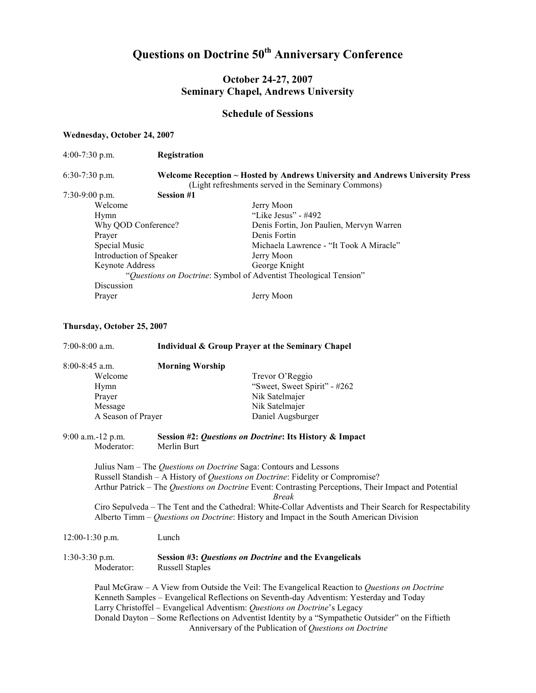# Questions on Doctrine 50<sup>th</sup> Anniversary Conference

## October 24-27, 2007 Seminary Chapel, Andrews University

#### Schedule of Sessions

#### Wednesday, October 24, 2007

| 4:00-7:30 p.m. | Registration |
|----------------|--------------|
|----------------|--------------|

#### 6:30-7:30 p.m. Welcome Reception ~ Hosted by Andrews University and Andrews University Press (Light refreshments served in the Seminary Commons)

7:30-9:00 p.m. Session #1

Welcome Jerry Moon Hymn "Like Jesus" - #492<br>Why QOD Conference? Denis Fortin, Jon Pa Denis Fortin, Jon Paulien, Mervyn Warren Prayer Denis Fortin<br>Special Music Nichaela Law Michaela Lawrence - "It Took A Miracle" Introduction of Speaker Jerry Moon Keynote Address George Knight "Questions on Doctrine: Symbol of Adventist Theological Tension" Discussion Prayer Jerry Moon

#### Thursday, October 25, 2007

| $7:00-8:00$ a.m.                                                          | Individual & Group Prayer at the Seminary Chapel        |                                                                                                                                                                                                                                                                                                                                                                                                                                                                                     |
|---------------------------------------------------------------------------|---------------------------------------------------------|-------------------------------------------------------------------------------------------------------------------------------------------------------------------------------------------------------------------------------------------------------------------------------------------------------------------------------------------------------------------------------------------------------------------------------------------------------------------------------------|
| $8:00-8:45$ a.m.                                                          | <b>Morning Worship</b>                                  |                                                                                                                                                                                                                                                                                                                                                                                                                                                                                     |
| Welcome                                                                   |                                                         | Trevor O'Reggio                                                                                                                                                                                                                                                                                                                                                                                                                                                                     |
| Hymn                                                                      |                                                         | "Sweet, Sweet Spirit" - #262                                                                                                                                                                                                                                                                                                                                                                                                                                                        |
| Prayer                                                                    |                                                         | Nik Satelmajer                                                                                                                                                                                                                                                                                                                                                                                                                                                                      |
| Message                                                                   |                                                         | Nik Satelmajer                                                                                                                                                                                                                                                                                                                                                                                                                                                                      |
| A Season of Prayer                                                        |                                                         | Daniel Augsburger                                                                                                                                                                                                                                                                                                                                                                                                                                                                   |
| 9:00 a.m.-12 p.m.                                                         | Session #2: Questions on Doctrine: Its History & Impact |                                                                                                                                                                                                                                                                                                                                                                                                                                                                                     |
| Moderator:                                                                | Merlin Burt                                             |                                                                                                                                                                                                                                                                                                                                                                                                                                                                                     |
|                                                                           |                                                         | Julius Nam - The Questions on Doctrine Saga: Contours and Lessons<br>Russell Standish - A History of Questions on Doctrine: Fidelity or Compromise?<br>Arthur Patrick - The Questions on Doctrine Event: Contrasting Perceptions, Their Impact and Potential<br><b>Break</b><br>Ciro Sepulveda – The Tent and the Cathedral: White-Collar Adventists and Their Search for Respectability<br>Alberto Timm – Questions on Doctrine: History and Impact in the South American Division |
| $12:00-1:30$ p.m.                                                         | Lunch                                                   |                                                                                                                                                                                                                                                                                                                                                                                                                                                                                     |
| $1:30-3:30$ p.m.                                                          |                                                         | Session #3: Questions on Doctrine and the Evangelicals                                                                                                                                                                                                                                                                                                                                                                                                                              |
| Moderator:                                                                | <b>Russell Staples</b>                                  |                                                                                                                                                                                                                                                                                                                                                                                                                                                                                     |
|                                                                           |                                                         | Paul McGraw - A View from Outside the Veil: The Evangelical Reaction to Questions on Doctrine                                                                                                                                                                                                                                                                                                                                                                                       |
|                                                                           |                                                         | Kenneth Samples - Evangelical Reflections on Seventh-day Adventism: Yesterday and Today                                                                                                                                                                                                                                                                                                                                                                                             |
| Larry Christoffel - Evangelical Adventism: Questions on Doctrine's Legacy |                                                         |                                                                                                                                                                                                                                                                                                                                                                                                                                                                                     |
|                                                                           |                                                         | Donald Dayton – Some Reflections on Adventist Identity by a "Sympathetic Outsider" on the Fiftieth                                                                                                                                                                                                                                                                                                                                                                                  |
|                                                                           |                                                         | Anniversary of the Publication of Questions on Doctrine                                                                                                                                                                                                                                                                                                                                                                                                                             |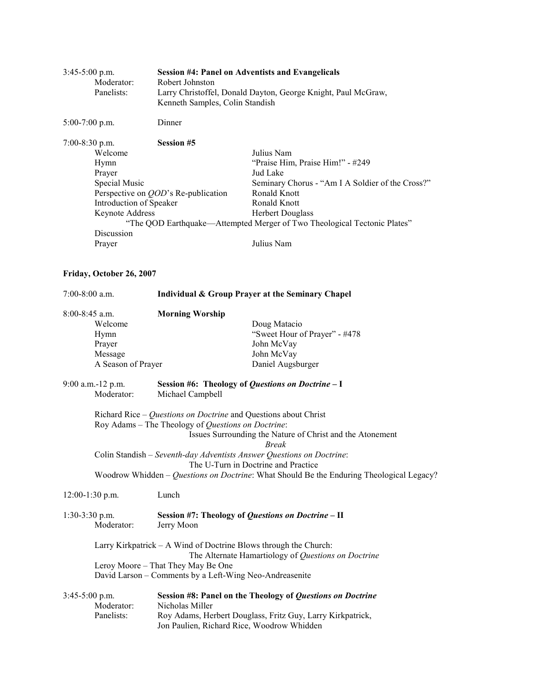| $3:45-5:00$ p.m. | Moderator:<br>Panelists:                                                                                               | <b>Session #4: Panel on Adventists and Evangelicals</b><br>Robert Johnston<br>Larry Christoffel, Donald Dayton, George Knight, Paul McGraw,<br>Kenneth Samples, Colin Standish |                                                                                                                                                                                                                                                                            |  |
|------------------|------------------------------------------------------------------------------------------------------------------------|--------------------------------------------------------------------------------------------------------------------------------------------------------------------------------|----------------------------------------------------------------------------------------------------------------------------------------------------------------------------------------------------------------------------------------------------------------------------|--|
| $5:00-7:00$ p.m. |                                                                                                                        | Dinner                                                                                                                                                                         |                                                                                                                                                                                                                                                                            |  |
| 7:00-8:30 p.m.   | Welcome<br>Hymn<br>Prayer<br>Special Music<br>Introduction of Speaker<br>Keynote Address<br>Discussion<br>Prayer       | <b>Session #5</b><br>Perspective on <i>OOD</i> 's Re-publication                                                                                                               | Julius Nam<br>"Praise Him, Praise Him!" - #249<br>Jud Lake<br>Seminary Chorus - "Am I A Soldier of the Cross?"<br><b>Ronald Knott</b><br>Ronald Knott<br><b>Herbert Douglass</b><br>"The QOD Earthquake—Attempted Merger of Two Theological Tectonic Plates"<br>Julius Nam |  |
|                  | Friday, October 26, 2007                                                                                               |                                                                                                                                                                                |                                                                                                                                                                                                                                                                            |  |
| $7:00-8:00$ a.m. |                                                                                                                        | Individual & Group Prayer at the Seminary Chapel                                                                                                                               |                                                                                                                                                                                                                                                                            |  |
| $8:00-8:45$ a.m. | Welcome<br>Hymn<br>Prayer<br>Message<br>A Season of Prayer                                                             | <b>Morning Worship</b>                                                                                                                                                         | Doug Matacio<br>"Sweet Hour of Prayer" - #478<br>John McVay<br>John McVay<br>Daniel Augsburger                                                                                                                                                                             |  |
|                  | 9:00 a.m.-12 p.m.<br>Moderator:                                                                                        | Session #6: Theology of Questions on Doctrine - I<br>Michael Campbell                                                                                                          |                                                                                                                                                                                                                                                                            |  |
|                  |                                                                                                                        | Richard Rice – Questions on Doctrine and Questions about Christ<br>Roy Adams - The Theology of Questions on Doctrine:                                                          | Issues Surrounding the Nature of Christ and the Atonement<br><b>Break</b><br>Colin Standish - Seventh-day Adventists Answer Questions on Doctrine:<br>The U-Turn in Doctrine and Practice                                                                                  |  |
|                  | Woodrow Whidden – Questions on Doctrine: What Should Be the Enduring Theological Legacy?<br>Lunch<br>$12:00-1:30$ p.m. |                                                                                                                                                                                |                                                                                                                                                                                                                                                                            |  |
| $1:30-3:30$ p.m. | Moderator:                                                                                                             | Jerry Moon                                                                                                                                                                     | Session #7: Theology of Questions on Doctrine - II                                                                                                                                                                                                                         |  |
|                  |                                                                                                                        | Larry Kirkpatrick – A Wind of Doctrine Blows through the Church:<br>Leroy Moore - That They May Be One<br>David Larson - Comments by a Left-Wing Neo-Andreasenite              | The Alternate Hamartiology of Questions on Doctrine                                                                                                                                                                                                                        |  |
| $3:45-5:00$ p.m. | Moderator:<br>Panelists:                                                                                               | Nicholas Miller<br>Jon Paulien, Richard Rice, Woodrow Whidden                                                                                                                  | Session #8: Panel on the Theology of Questions on Doctrine<br>Roy Adams, Herbert Douglass, Fritz Guy, Larry Kirkpatrick,                                                                                                                                                   |  |